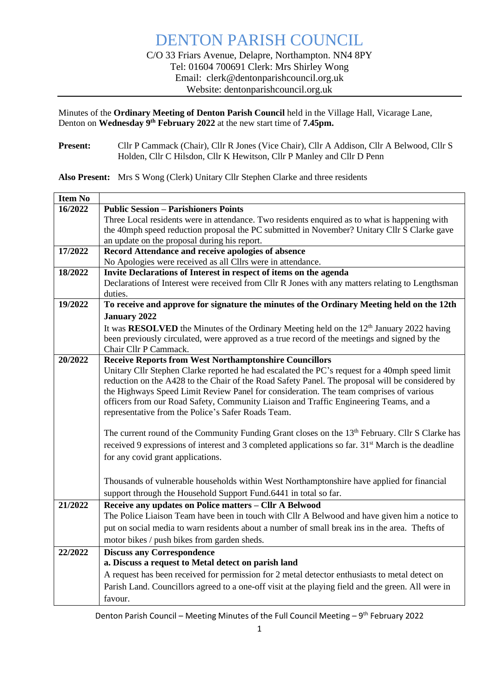Minutes of the **Ordinary Meeting of Denton Parish Council** held in the Village Hall, Vicarage Lane, Denton on Wednesday 9<sup>th</sup> February 2022 at the new start time of 7.45pm.

**Present:** Cllr P Cammack (Chair), Cllr R Jones (Vice Chair), Cllr A Addison, Cllr A Belwood, Cllr S Holden, Cllr C Hilsdon, Cllr K Hewitson, Cllr P Manley and Cllr D Penn

**Also Present:** Mrs S Wong (Clerk) Unitary Cllr Stephen Clarke and three residents

| 16/2022<br><b>Public Session - Parishioners Points</b><br>Three Local residents were in attendance. Two residents enquired as to what is happening with<br>the 40mph speed reduction proposal the PC submitted in November? Unitary Cllr S Clarke gave<br>an update on the proposal during his report.<br>17/2022<br>Record Attendance and receive apologies of absence<br>No Apologies were received as all Cllrs were in attendance.<br>Invite Declarations of Interest in respect of items on the agenda<br>18/2022<br>Declarations of Interest were received from Cllr R Jones with any matters relating to Lengthsman<br>duties.<br>To receive and approve for signature the minutes of the Ordinary Meeting held on the 12th<br>19/2022<br><b>January 2022</b><br>It was RESOLVED the Minutes of the Ordinary Meeting held on the 12 <sup>th</sup> January 2022 having<br>been previously circulated, were approved as a true record of the meetings and signed by the<br>Chair Cllr P Cammack.<br><b>Receive Reports from West Northamptonshire Councillors</b><br>20/2022<br>Unitary Cllr Stephen Clarke reported he had escalated the PC's request for a 40mph speed limit<br>reduction on the A428 to the Chair of the Road Safety Panel. The proposal will be considered by<br>the Highways Speed Limit Review Panel for consideration. The team comprises of various<br>officers from our Road Safety, Community Liaison and Traffic Engineering Teams, and a<br>representative from the Police's Safer Roads Team.<br>The current round of the Community Funding Grant closes on the 13 <sup>th</sup> February. Cllr S Clarke has |
|------------------------------------------------------------------------------------------------------------------------------------------------------------------------------------------------------------------------------------------------------------------------------------------------------------------------------------------------------------------------------------------------------------------------------------------------------------------------------------------------------------------------------------------------------------------------------------------------------------------------------------------------------------------------------------------------------------------------------------------------------------------------------------------------------------------------------------------------------------------------------------------------------------------------------------------------------------------------------------------------------------------------------------------------------------------------------------------------------------------------------------------------------------------------------------------------------------------------------------------------------------------------------------------------------------------------------------------------------------------------------------------------------------------------------------------------------------------------------------------------------------------------------------------------------------------------------------------------------------------------------------------------|
|                                                                                                                                                                                                                                                                                                                                                                                                                                                                                                                                                                                                                                                                                                                                                                                                                                                                                                                                                                                                                                                                                                                                                                                                                                                                                                                                                                                                                                                                                                                                                                                                                                                |
|                                                                                                                                                                                                                                                                                                                                                                                                                                                                                                                                                                                                                                                                                                                                                                                                                                                                                                                                                                                                                                                                                                                                                                                                                                                                                                                                                                                                                                                                                                                                                                                                                                                |
|                                                                                                                                                                                                                                                                                                                                                                                                                                                                                                                                                                                                                                                                                                                                                                                                                                                                                                                                                                                                                                                                                                                                                                                                                                                                                                                                                                                                                                                                                                                                                                                                                                                |
|                                                                                                                                                                                                                                                                                                                                                                                                                                                                                                                                                                                                                                                                                                                                                                                                                                                                                                                                                                                                                                                                                                                                                                                                                                                                                                                                                                                                                                                                                                                                                                                                                                                |
|                                                                                                                                                                                                                                                                                                                                                                                                                                                                                                                                                                                                                                                                                                                                                                                                                                                                                                                                                                                                                                                                                                                                                                                                                                                                                                                                                                                                                                                                                                                                                                                                                                                |
|                                                                                                                                                                                                                                                                                                                                                                                                                                                                                                                                                                                                                                                                                                                                                                                                                                                                                                                                                                                                                                                                                                                                                                                                                                                                                                                                                                                                                                                                                                                                                                                                                                                |
|                                                                                                                                                                                                                                                                                                                                                                                                                                                                                                                                                                                                                                                                                                                                                                                                                                                                                                                                                                                                                                                                                                                                                                                                                                                                                                                                                                                                                                                                                                                                                                                                                                                |
|                                                                                                                                                                                                                                                                                                                                                                                                                                                                                                                                                                                                                                                                                                                                                                                                                                                                                                                                                                                                                                                                                                                                                                                                                                                                                                                                                                                                                                                                                                                                                                                                                                                |
|                                                                                                                                                                                                                                                                                                                                                                                                                                                                                                                                                                                                                                                                                                                                                                                                                                                                                                                                                                                                                                                                                                                                                                                                                                                                                                                                                                                                                                                                                                                                                                                                                                                |
|                                                                                                                                                                                                                                                                                                                                                                                                                                                                                                                                                                                                                                                                                                                                                                                                                                                                                                                                                                                                                                                                                                                                                                                                                                                                                                                                                                                                                                                                                                                                                                                                                                                |
|                                                                                                                                                                                                                                                                                                                                                                                                                                                                                                                                                                                                                                                                                                                                                                                                                                                                                                                                                                                                                                                                                                                                                                                                                                                                                                                                                                                                                                                                                                                                                                                                                                                |
|                                                                                                                                                                                                                                                                                                                                                                                                                                                                                                                                                                                                                                                                                                                                                                                                                                                                                                                                                                                                                                                                                                                                                                                                                                                                                                                                                                                                                                                                                                                                                                                                                                                |
|                                                                                                                                                                                                                                                                                                                                                                                                                                                                                                                                                                                                                                                                                                                                                                                                                                                                                                                                                                                                                                                                                                                                                                                                                                                                                                                                                                                                                                                                                                                                                                                                                                                |
|                                                                                                                                                                                                                                                                                                                                                                                                                                                                                                                                                                                                                                                                                                                                                                                                                                                                                                                                                                                                                                                                                                                                                                                                                                                                                                                                                                                                                                                                                                                                                                                                                                                |
|                                                                                                                                                                                                                                                                                                                                                                                                                                                                                                                                                                                                                                                                                                                                                                                                                                                                                                                                                                                                                                                                                                                                                                                                                                                                                                                                                                                                                                                                                                                                                                                                                                                |
|                                                                                                                                                                                                                                                                                                                                                                                                                                                                                                                                                                                                                                                                                                                                                                                                                                                                                                                                                                                                                                                                                                                                                                                                                                                                                                                                                                                                                                                                                                                                                                                                                                                |
|                                                                                                                                                                                                                                                                                                                                                                                                                                                                                                                                                                                                                                                                                                                                                                                                                                                                                                                                                                                                                                                                                                                                                                                                                                                                                                                                                                                                                                                                                                                                                                                                                                                |
|                                                                                                                                                                                                                                                                                                                                                                                                                                                                                                                                                                                                                                                                                                                                                                                                                                                                                                                                                                                                                                                                                                                                                                                                                                                                                                                                                                                                                                                                                                                                                                                                                                                |
|                                                                                                                                                                                                                                                                                                                                                                                                                                                                                                                                                                                                                                                                                                                                                                                                                                                                                                                                                                                                                                                                                                                                                                                                                                                                                                                                                                                                                                                                                                                                                                                                                                                |
|                                                                                                                                                                                                                                                                                                                                                                                                                                                                                                                                                                                                                                                                                                                                                                                                                                                                                                                                                                                                                                                                                                                                                                                                                                                                                                                                                                                                                                                                                                                                                                                                                                                |
| received 9 expressions of interest and 3 completed applications so far. 31 <sup>st</sup> March is the deadline                                                                                                                                                                                                                                                                                                                                                                                                                                                                                                                                                                                                                                                                                                                                                                                                                                                                                                                                                                                                                                                                                                                                                                                                                                                                                                                                                                                                                                                                                                                                 |
| for any covid grant applications.                                                                                                                                                                                                                                                                                                                                                                                                                                                                                                                                                                                                                                                                                                                                                                                                                                                                                                                                                                                                                                                                                                                                                                                                                                                                                                                                                                                                                                                                                                                                                                                                              |
|                                                                                                                                                                                                                                                                                                                                                                                                                                                                                                                                                                                                                                                                                                                                                                                                                                                                                                                                                                                                                                                                                                                                                                                                                                                                                                                                                                                                                                                                                                                                                                                                                                                |
| Thousands of vulnerable households within West Northamptonshire have applied for financial                                                                                                                                                                                                                                                                                                                                                                                                                                                                                                                                                                                                                                                                                                                                                                                                                                                                                                                                                                                                                                                                                                                                                                                                                                                                                                                                                                                                                                                                                                                                                     |
| support through the Household Support Fund.6441 in total so far.                                                                                                                                                                                                                                                                                                                                                                                                                                                                                                                                                                                                                                                                                                                                                                                                                                                                                                                                                                                                                                                                                                                                                                                                                                                                                                                                                                                                                                                                                                                                                                               |
| Receive any updates on Police matters - Cllr A Belwood<br>21/2022                                                                                                                                                                                                                                                                                                                                                                                                                                                                                                                                                                                                                                                                                                                                                                                                                                                                                                                                                                                                                                                                                                                                                                                                                                                                                                                                                                                                                                                                                                                                                                              |
| The Police Liaison Team have been in touch with Cllr A Belwood and have given him a notice to                                                                                                                                                                                                                                                                                                                                                                                                                                                                                                                                                                                                                                                                                                                                                                                                                                                                                                                                                                                                                                                                                                                                                                                                                                                                                                                                                                                                                                                                                                                                                  |
| put on social media to warn residents about a number of small break ins in the area. Thefts of                                                                                                                                                                                                                                                                                                                                                                                                                                                                                                                                                                                                                                                                                                                                                                                                                                                                                                                                                                                                                                                                                                                                                                                                                                                                                                                                                                                                                                                                                                                                                 |
| motor bikes / push bikes from garden sheds.                                                                                                                                                                                                                                                                                                                                                                                                                                                                                                                                                                                                                                                                                                                                                                                                                                                                                                                                                                                                                                                                                                                                                                                                                                                                                                                                                                                                                                                                                                                                                                                                    |
| <b>Discuss any Correspondence</b><br>22/2022                                                                                                                                                                                                                                                                                                                                                                                                                                                                                                                                                                                                                                                                                                                                                                                                                                                                                                                                                                                                                                                                                                                                                                                                                                                                                                                                                                                                                                                                                                                                                                                                   |
| a. Discuss a request to Metal detect on parish land                                                                                                                                                                                                                                                                                                                                                                                                                                                                                                                                                                                                                                                                                                                                                                                                                                                                                                                                                                                                                                                                                                                                                                                                                                                                                                                                                                                                                                                                                                                                                                                            |
| A request has been received for permission for 2 metal detector enthusiasts to metal detect on                                                                                                                                                                                                                                                                                                                                                                                                                                                                                                                                                                                                                                                                                                                                                                                                                                                                                                                                                                                                                                                                                                                                                                                                                                                                                                                                                                                                                                                                                                                                                 |
| Parish Land. Councillors agreed to a one-off visit at the playing field and the green. All were in                                                                                                                                                                                                                                                                                                                                                                                                                                                                                                                                                                                                                                                                                                                                                                                                                                                                                                                                                                                                                                                                                                                                                                                                                                                                                                                                                                                                                                                                                                                                             |
| favour.                                                                                                                                                                                                                                                                                                                                                                                                                                                                                                                                                                                                                                                                                                                                                                                                                                                                                                                                                                                                                                                                                                                                                                                                                                                                                                                                                                                                                                                                                                                                                                                                                                        |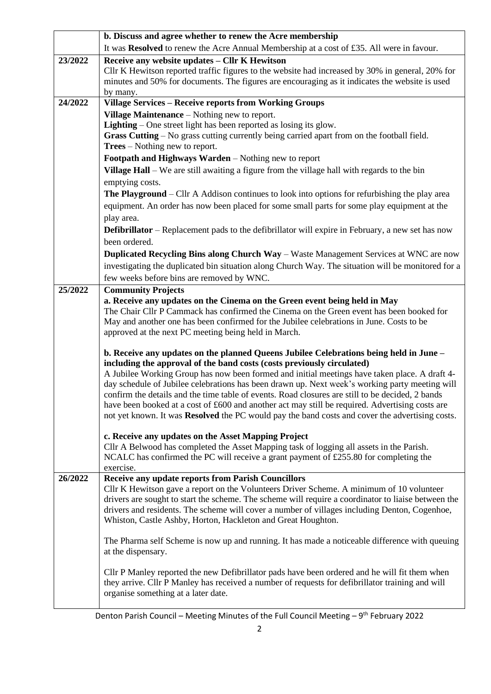|         | b. Discuss and agree whether to renew the Acre membership                                                                                                                                                                                                                                                                                                                                                                                                                                                                                                                                                                                                                            |  |  |  |  |  |  |
|---------|--------------------------------------------------------------------------------------------------------------------------------------------------------------------------------------------------------------------------------------------------------------------------------------------------------------------------------------------------------------------------------------------------------------------------------------------------------------------------------------------------------------------------------------------------------------------------------------------------------------------------------------------------------------------------------------|--|--|--|--|--|--|
|         | It was Resolved to renew the Acre Annual Membership at a cost of £35. All were in favour.                                                                                                                                                                                                                                                                                                                                                                                                                                                                                                                                                                                            |  |  |  |  |  |  |
| 23/2022 | Receive any website updates - Cllr K Hewitson<br>Cllr K Hewitson reported traffic figures to the website had increased by 30% in general, 20% for<br>minutes and 50% for documents. The figures are encouraging as it indicates the website is used<br>by many.                                                                                                                                                                                                                                                                                                                                                                                                                      |  |  |  |  |  |  |
| 24/2022 | <b>Village Services - Receive reports from Working Groups</b>                                                                                                                                                                                                                                                                                                                                                                                                                                                                                                                                                                                                                        |  |  |  |  |  |  |
|         | Village Maintenance – Nothing new to report.                                                                                                                                                                                                                                                                                                                                                                                                                                                                                                                                                                                                                                         |  |  |  |  |  |  |
|         | Lighting – One street light has been reported as losing its glow.                                                                                                                                                                                                                                                                                                                                                                                                                                                                                                                                                                                                                    |  |  |  |  |  |  |
|         | Grass Cutting - No grass cutting currently being carried apart from on the football field.                                                                                                                                                                                                                                                                                                                                                                                                                                                                                                                                                                                           |  |  |  |  |  |  |
|         | <b>Trees</b> – Nothing new to report.                                                                                                                                                                                                                                                                                                                                                                                                                                                                                                                                                                                                                                                |  |  |  |  |  |  |
|         | Footpath and Highways Warden - Nothing new to report                                                                                                                                                                                                                                                                                                                                                                                                                                                                                                                                                                                                                                 |  |  |  |  |  |  |
|         | Village Hall – We are still awaiting a figure from the village hall with regards to the bin                                                                                                                                                                                                                                                                                                                                                                                                                                                                                                                                                                                          |  |  |  |  |  |  |
|         | emptying costs.                                                                                                                                                                                                                                                                                                                                                                                                                                                                                                                                                                                                                                                                      |  |  |  |  |  |  |
|         | <b>The Playground</b> – Cllr A Addison continues to look into options for refurbishing the play area                                                                                                                                                                                                                                                                                                                                                                                                                                                                                                                                                                                 |  |  |  |  |  |  |
|         | equipment. An order has now been placed for some small parts for some play equipment at the                                                                                                                                                                                                                                                                                                                                                                                                                                                                                                                                                                                          |  |  |  |  |  |  |
|         | play area.                                                                                                                                                                                                                                                                                                                                                                                                                                                                                                                                                                                                                                                                           |  |  |  |  |  |  |
|         | <b>Defibrillator</b> – Replacement pads to the defibrillator will expire in February, a new set has now                                                                                                                                                                                                                                                                                                                                                                                                                                                                                                                                                                              |  |  |  |  |  |  |
|         | been ordered.                                                                                                                                                                                                                                                                                                                                                                                                                                                                                                                                                                                                                                                                        |  |  |  |  |  |  |
|         | Duplicated Recycling Bins along Church Way - Waste Management Services at WNC are now                                                                                                                                                                                                                                                                                                                                                                                                                                                                                                                                                                                                |  |  |  |  |  |  |
|         | investigating the duplicated bin situation along Church Way. The situation will be monitored for a                                                                                                                                                                                                                                                                                                                                                                                                                                                                                                                                                                                   |  |  |  |  |  |  |
|         | few weeks before bins are removed by WNC.                                                                                                                                                                                                                                                                                                                                                                                                                                                                                                                                                                                                                                            |  |  |  |  |  |  |
| 25/2022 | <b>Community Projects</b>                                                                                                                                                                                                                                                                                                                                                                                                                                                                                                                                                                                                                                                            |  |  |  |  |  |  |
|         | a. Receive any updates on the Cinema on the Green event being held in May<br>The Chair Cllr P Cammack has confirmed the Cinema on the Green event has been booked for<br>May and another one has been confirmed for the Jubilee celebrations in June. Costs to be<br>approved at the next PC meeting being held in March.                                                                                                                                                                                                                                                                                                                                                            |  |  |  |  |  |  |
|         | b. Receive any updates on the planned Queens Jubilee Celebrations being held in June -<br>including the approval of the band costs (costs previously circulated)<br>A Jubilee Working Group has now been formed and initial meetings have taken place. A draft 4-<br>day schedule of Jubilee celebrations has been drawn up. Next week's working party meeting will<br>confirm the details and the time table of events. Road closures are still to be decided, 2 bands<br>have been booked at a cost of £600 and another act may still be required. Advertising costs are<br>not yet known. It was <b>Resolved</b> the PC would pay the band costs and cover the advertising costs. |  |  |  |  |  |  |
|         | c. Receive any updates on the Asset Mapping Project<br>Cllr A Belwood has completed the Asset Mapping task of logging all assets in the Parish.<br>NCALC has confirmed the PC will receive a grant payment of £255.80 for completing the<br>exercise.                                                                                                                                                                                                                                                                                                                                                                                                                                |  |  |  |  |  |  |
| 26/2022 | <b>Receive any update reports from Parish Councillors</b>                                                                                                                                                                                                                                                                                                                                                                                                                                                                                                                                                                                                                            |  |  |  |  |  |  |
|         | Cllr K Hewitson gave a report on the Volunteers Driver Scheme. A minimum of 10 volunteer<br>drivers are sought to start the scheme. The scheme will require a coordinator to liaise between the                                                                                                                                                                                                                                                                                                                                                                                                                                                                                      |  |  |  |  |  |  |
|         | drivers and residents. The scheme will cover a number of villages including Denton, Cogenhoe,                                                                                                                                                                                                                                                                                                                                                                                                                                                                                                                                                                                        |  |  |  |  |  |  |
|         | Whiston, Castle Ashby, Horton, Hackleton and Great Houghton.                                                                                                                                                                                                                                                                                                                                                                                                                                                                                                                                                                                                                         |  |  |  |  |  |  |
|         |                                                                                                                                                                                                                                                                                                                                                                                                                                                                                                                                                                                                                                                                                      |  |  |  |  |  |  |
|         | The Pharma self Scheme is now up and running. It has made a noticeable difference with queuing<br>at the dispensary.                                                                                                                                                                                                                                                                                                                                                                                                                                                                                                                                                                 |  |  |  |  |  |  |
|         | Cllr P Manley reported the new Defibrillator pads have been ordered and he will fit them when<br>they arrive. Cllr P Manley has received a number of requests for defibrillator training and will<br>organise something at a later date.                                                                                                                                                                                                                                                                                                                                                                                                                                             |  |  |  |  |  |  |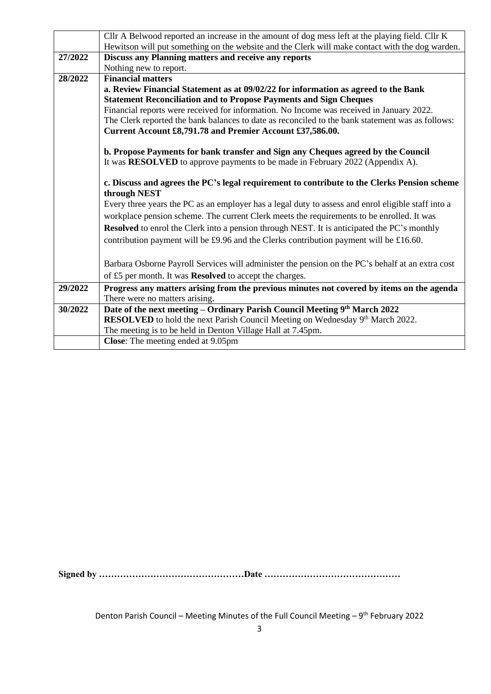|         | Cllr A Belwood reported an increase in the amount of dog mess left at the playing field. Cllr K    |  |  |  |  |  |  |  |
|---------|----------------------------------------------------------------------------------------------------|--|--|--|--|--|--|--|
|         | Hewitson will put something on the website and the Clerk will make contact with the dog warden.    |  |  |  |  |  |  |  |
| 27/2022 | <b>Discuss any Planning matters and receive any reports</b>                                        |  |  |  |  |  |  |  |
|         | Nothing new to report.                                                                             |  |  |  |  |  |  |  |
| 28/2022 | <b>Financial matters</b>                                                                           |  |  |  |  |  |  |  |
|         | a. Review Financial Statement as at 09/02/22 for information as agreed to the Bank                 |  |  |  |  |  |  |  |
|         | <b>Statement Reconciliation and to Propose Payments and Sign Cheques</b>                           |  |  |  |  |  |  |  |
|         | Financial reports were received for information. No Income was received in January 2022.           |  |  |  |  |  |  |  |
|         | The Clerk reported the bank balances to date as reconciled to the bank statement was as follows:   |  |  |  |  |  |  |  |
|         | Current Account £8,791.78 and Premier Account £37,586.00.                                          |  |  |  |  |  |  |  |
|         |                                                                                                    |  |  |  |  |  |  |  |
|         | b. Propose Payments for bank transfer and Sign any Cheques agreed by the Council                   |  |  |  |  |  |  |  |
|         | It was RESOLVED to approve payments to be made in February 2022 (Appendix A).                      |  |  |  |  |  |  |  |
|         | c. Discuss and agrees the PC's legal requirement to contribute to the Clerks Pension scheme        |  |  |  |  |  |  |  |
|         | through NEST                                                                                       |  |  |  |  |  |  |  |
|         | Every three years the PC as an employer has a legal duty to assess and enrol eligible staff into a |  |  |  |  |  |  |  |
|         | workplace pension scheme. The current Clerk meets the requirements to be enrolled. It was          |  |  |  |  |  |  |  |
|         |                                                                                                    |  |  |  |  |  |  |  |
|         | Resolved to enrol the Clerk into a pension through NEST. It is anticipated the PC's monthly        |  |  |  |  |  |  |  |
|         | contribution payment will be £9.96 and the Clerks contribution payment will be £16.60.             |  |  |  |  |  |  |  |
|         |                                                                                                    |  |  |  |  |  |  |  |
|         | Barbara Osborne Payroll Services will administer the pension on the PC's behalf at an extra cost   |  |  |  |  |  |  |  |
|         | of £5 per month. It was Resolved to accept the charges.                                            |  |  |  |  |  |  |  |
| 29/2022 | Progress any matters arising from the previous minutes not covered by items on the agenda          |  |  |  |  |  |  |  |
|         | There were no matters arising.                                                                     |  |  |  |  |  |  |  |
| 30/2022 | Date of the next meeting - Ordinary Parish Council Meeting 9th March 2022                          |  |  |  |  |  |  |  |
|         | RESOLVED to hold the next Parish Council Meeting on Wednesday 9th March 2022.                      |  |  |  |  |  |  |  |
|         | The meeting is to be held in Denton Village Hall at 7.45pm.                                        |  |  |  |  |  |  |  |
|         | <b>Close:</b> The meeting ended at 9.05pm                                                          |  |  |  |  |  |  |  |

**Signed by …………………………………………Date ………………………………………**